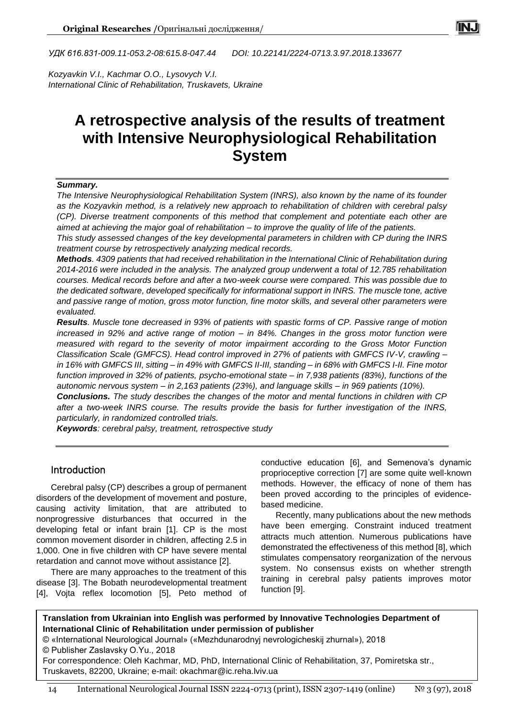*УДК 616.831-009.11-053.2-08:615.8-047.44 DOI: 10.22141/2224-0713.3.97.2018.133677*

*Kozyavkin V.I., Kachmar O.O., Lysovych V.I. International Clinic of Rehabilitation, Truskavets, Ukraine*

# **A retrospective analysis of the results of treatment with Intensive Neurophysiological Rehabilitation System**

#### *Summary.*

*The Intensive Neurophysiological Rehabilitation System (INRS), also known by the name of its founder as the Kozyavkin method, is a relatively new approach to rehabilitation of children with cerebral palsy (CP). Diverse treatment components of this method that complement and potentiate each other are aimed at achieving the major goal of rehabilitation – to improve the quality of life of the patients.*

*This study assessed changes of the key developmental parameters in children with CP during the INRS treatment course by retrospectively analyzing medical records.*

*Methods. 4309 patients that had received rehabilitation in the International Clinic of Rehabilitation during 2014-2016 were included in the analysis. The analyzed group underwent a total of 12.785 rehabilitation courses. Medical records before and after a two-week course were compared. This was possible due to the dedicated software, developed specifically for informational support in INRS. The muscle tone, active and passive range of motion, gross motor function, fine motor skills, and several other parameters were evaluated.* 

*Results. Muscle tone decreased in 93% of patients with spastic forms of CP. Passive range of motion increased in 92% and active range of motion – in 84%. Changes in the gross motor function were measured with regard to the severity of motor impairment according to the Gross Motor Function Classification Scale (GMFCS). Head control improved in 27% of patients with GMFCS IV-V, crawling – in 16% with GMFCS III, sitting – in 49% with GMFCS II-III, standing – in 68% with GMFCS I-II. Fine motor function improved in 32% of patients, psycho-emotional state – in 7,938 patients (83%), functions of the autonomic nervous system – in 2,163 patients (23%), and language skills – in 969 patients (10%).*

*Conclusions. The study describes the changes of the motor and mental functions in children with CP after a two-week INRS course. The results provide the basis for further investigation of the INRS, particularly, in randomized controlled trials.*

*Keywords: cerebral palsy, treatment, retrospective study*

## Introduction

Cerebral palsy (CP) describes a group of permanent disorders of the development of movement and posture, causing activity limitation, that are attributed to nonprogressive disturbances that occurred in the developing fetal or infant brain [1]. CP is the most common movement disorder in children, affecting 2.5 in 1,000. One in five children with CP have severe mental retardation and cannot move without assistance [2].

There are many approaches to the treatment of this disease [3]. The Bobath neurodevelopmental treatment [4], Vojta reflex locomotion [5], Peto method of conductive education [6], and Semenova's dynamic proprioceptive correction [7] are some quite well-known methods. However, the efficacy of none of them has been proved according to the principles of evidencebased medicine.

Recently, many publications about the new methods have been emerging. Constraint induced treatment attracts much attention. Numerous publications have demonstrated the effectiveness of this method [8], which stimulates compensatory reorganization of the nervous system. No consensus exists on whether strength training in cerebral palsy patients improves motor function [9].

**Translation from Ukrainian into English was performed by Innovative Technologies Department of International Clinic of Rehabilitation under permission of publisher**

© «International Neurological Journal» («Mezhdunarodnyj nevrologicheskij zhurnal»), 2018

© Publisher Zaslavsky O.Yu., 2018

For correspondence: Oleh Kachmar, MD, PhD, International Clinic of Rehabilitation, 37, Pomiretska str., Truskavets, 82200, Ukraine; e-mail: okachmar@ic.reha.lviv.ua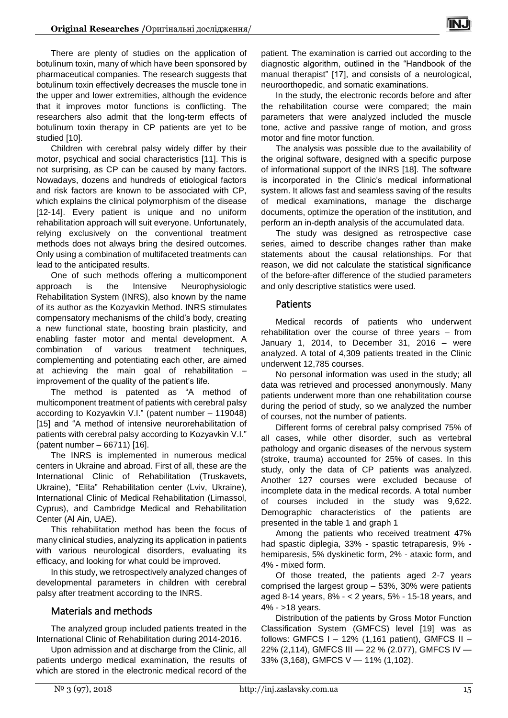There are plenty of studies on the application of botulinum toxin, many of which have been sponsored by pharmaceutical companies. The research suggests that botulinum toxin effectively decreases the muscle tone in the upper and lower extremities, although the evidence that it improves motor functions is conflicting. The researchers also admit that the long-term effects of botulinum toxin therapy in CP patients are yet to be studied [10].

Children with cerebral palsy widely differ by their motor, psychical and social characteristics [11]. This is not surprising, as CP can be caused by many factors. Nowadays, dozens and hundreds of etiological factors and risk factors are known to be associated with CP, which explains the clinical polymorphism of the disease [12-14]. Every patient is unique and no uniform rehabilitation approach will suit everyone. Unfortunately, relying exclusively on the conventional treatment methods does not always bring the desired outcomes. Only using a combination of multifaceted treatments can lead to the anticipated results.

One of such methods offering a multicomponent approach is the Intensive Neurophysiologic Rehabilitation System (INRS), also known by the name of its author as the Kozyavkin Method. INRS stimulates compensatory mechanisms of the child's body, creating a new functional state, boosting brain plasticity, and enabling faster motor and mental development. A combination of various treatment techniques, complementing and potentiating each other, are aimed at achieving the main goal of rehabilitation – improvement of the quality of the patient's life.

The method is patented as "A method of multicomponent treatment of patients with cerebral palsy according to Kozyavkin V.I." (patent number – 119048) [15] and "A method of intensive neurorehabilitation of patients with cerebral palsy according to Kozyavkin V.I." (patent number – 66711) [16].

The INRS is implemented in numerous medical centers in Ukraine and abroad. First of all, these are the International Clinic of Rehabilitation (Truskavets, Ukraine), "Elita" Rehabilitation center (Lviv, Ukraine), International Clinic of Medical Rehabilitation (Limassol, Cyprus), and Cambridge Medical and Rehabilitation Center (Al Ain, UAE).

This rehabilitation method has been the focus of many clinical studies, analyzing its application in patients with various neurological disorders, evaluating its efficacy, and looking for what could be improved.

In this study, we retrospectively analyzed changes of developmental parameters in children with cerebral palsy after treatment according to the INRS.

# Materials and methods

The analyzed group included patients treated in the International Clinic of Rehabilitation during 2014-2016.

Upon admission and at discharge from the Clinic, all patients undergo medical examination, the results of which are stored in the electronic medical record of the

patient. The examination is carried out according to the diagnostic algorithm, outlined in the "Handbook of the manual therapist" [17], and consists of a neurological, neuroorthopedic, and somatic examinations.

In the study, the electronic records before and after the rehabilitation course were compared; the main parameters that were analyzed included the muscle tone, active and passive range of motion, and gross motor and fine motor function.

The analysis was possible due to the availability of the original software, designed with a specific purpose of informational support of the INRS [18]. The software is incorporated in the Clinic's medical informational system. It allows fast and seamless saving of the results of medical examinations, manage the discharge documents, optimize the operation of the institution, and perform an in-depth analysis of the accumulated data.

The study was designed as retrospective case series, aimed to describe changes rather than make statements about the causal relationships. For that reason, we did not calculate the statistical significance of the before-after difference of the studied parameters and only descriptive statistics were used.

## Patients

Medical records of patients who underwent rehabilitation over the course of three years – from January 1, 2014, to December 31, 2016 – were analyzed. A total of 4,309 patients treated in the Clinic underwent 12,785 courses.

No personal information was used in the study; all data was retrieved and processed anonymously. Many patients underwent more than one rehabilitation course during the period of study, so we analyzed the number of courses, not the number of patients.

Different forms of cerebral palsy comprised 75% of all cases, while other disorder, such as vertebral pathology and organic diseases of the nervous system (stroke, trauma) accounted for 25% of cases. In this study, only the data of CP patients was analyzed. Another 127 courses were excluded because of incomplete data in the medical records. A total number of courses included in the study was 9,622. Demographic characteristics of the patients are presented in the table 1 and graph 1

Among the patients who received treatment 47% had spastic diplegia, 33% - spastic tetraparesis, 9% hemiparesis, 5% dyskinetic form, 2% - ataxic form, and 4% - mixed form.

Of those treated, the patients aged 2-7 years comprised the largest group – 53%, 30% were patients aged 8-14 years, 8% - < 2 years, 5% - 15-18 years, and 4% - >18 years.

Distribution of the patients by Gross Motor Function Classification System (GMFCS) level [19] was as follows: GMFCS I - 12% (1,161 patient), GMFCS II -22% (2,114), GMFCS ІІІ — 22 % (2.077), GMFCS IV — 33% (3,168), GMFCS V — 11% (1,102).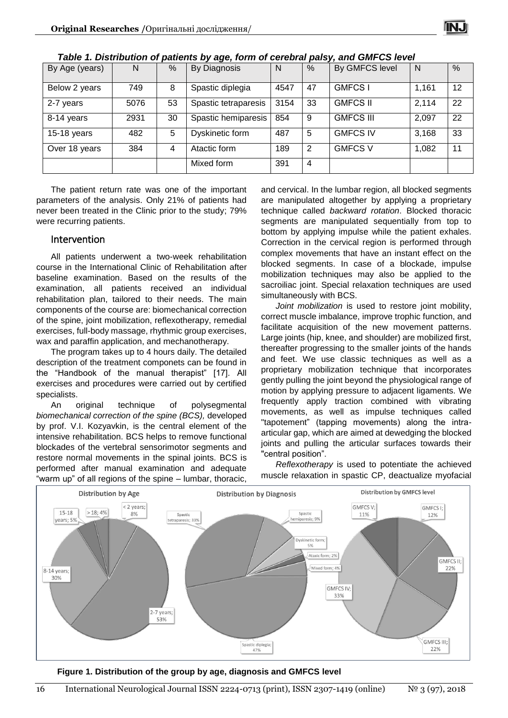

| By Age (years) | N    | %  | By Diagnosis         | N    | %  | By GMFCS level   | N     | %  |
|----------------|------|----|----------------------|------|----|------------------|-------|----|
| Below 2 years  | 749  | 8  | Spastic diplegia     | 4547 | 47 | <b>GMFCS</b>     | 1,161 | 12 |
| 2-7 years      | 5076 | 53 | Spastic tetraparesis | 3154 | 33 | <b>GMFCS II</b>  | 2,114 | 22 |
| 8-14 years     | 2931 | 30 | Spastic hemiparesis  | 854  | 9  | <b>GMFCS III</b> | 2,097 | 22 |
| $15-18$ years  | 482  | 5  | Dyskinetic form      | 487  | 5  | <b>GMFCS IV</b>  | 3,168 | 33 |
| Over 18 years  | 384  | 4  | Atactic form         | 189  | 2  | <b>GMFCS V</b>   | 1,082 | 11 |
|                |      |    | Mixed form           | 391  | 4  |                  |       |    |

*Table 1. Distribution of patients by age, form of cerebral palsy, and GMFCS level*

The patient return rate was one of the important parameters of the analysis. Only 21% of patients had never been treated in the Clinic prior to the study; 79% were recurring patients.

#### Intervention

All patients underwent a two-week rehabilitation course in the International Clinic of Rehabilitation after baseline examination. Based on the results of the examination, all patients received an individual rehabilitation plan, tailored to their needs. The main components of the course are: biomechanical correction of the spine, joint mobilization, reflexotherapy, remedial exercises, full-body massage, rhythmic group exercises, wax and paraffin application, and mechanotherapy.

The program takes up to 4 hours daily. The detailed description of the treatment componets can be found in the "Handbook of the manual therapist" [17]. All exercises and procedures were carried out by certified specialists.

An original technique of polysegmental *biomechanical correction of the spine (BCS),* developed by prof. V.I. Kozyavkin, is the central element of the intensive rehabilitation. BCS helps to remove functional blockades of the vertebral sensorimotor segments and restore normal movements in the spinal joints. BCS is performed after manual examination and adequate "warm up" of all regions of the spine – lumbar, thoracic,

and cervical. In the lumbar region, all blocked segments are manipulated altogether by applying a proprietary technique called *backward rotation*. Blocked thoracic segments are manipulated sequentially from top to bottom by applying impulse while the patient exhales. Correction in the cervical region is performed through complex movements that have an instant effect on the blocked segments. In case of a blockade, impulse mobilization techniques may also be applied to the sacroiliac joint. Special relaxation techniques are used simultaneously with BCS.

*Joint mobilization* is used to restore joint mobility, correct muscle imbalance, improve trophic function, and facilitate acquisition of the new movement patterns. Large joints (hip, knee, and shoulder) are mobilized first, thereafter progressing to the smaller joints of the hands and feet. We use classic techniques as well as a proprietary mobilization technique that incorporates gently pulling the joint beyond the physiological range of motion by applying pressure to adjacent ligaments. We frequently apply traction combined with vibrating movements, as well as impulse techniques called "tapotement" (tapping movements) along the intraarticular gap, which are aimed at dewedging the blocked joints and pulling the articular surfaces towards their "central position".

*Reflexotherapy* is used to potentiate the achieved muscle relaxation in spastic CP, deactualize myofacial



**Figure 1. Distribution of the group by age, diagnosis and GMFCS level**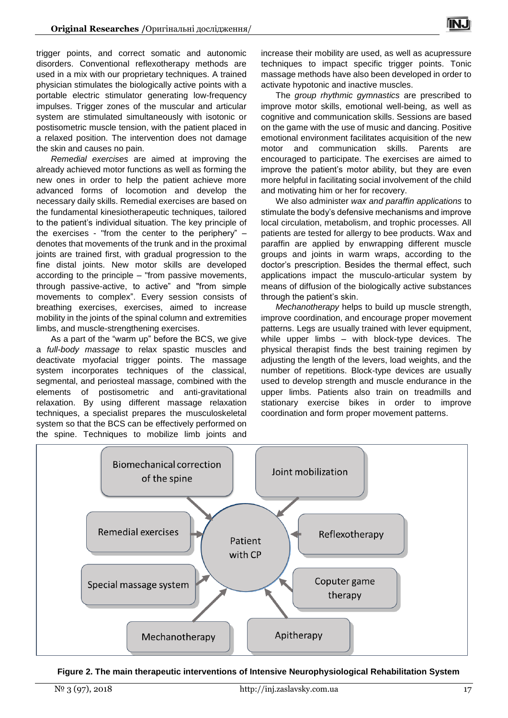trigger points, and correct somatic and autonomic disorders. Conventional reflexotherapy methods are used in a mix with our proprietary techniques. A trained physician stimulates the biologically active points with a portable electric stimulator generating low-frequency impulses. Trigger zones of the muscular and articular system are stimulated simultaneously with isotonic or postisometric muscle tension, with the patient placed in a relaxed position. The intervention does not damage the skin and causes no pain.

*Remedial exercises* are aimed at improving the already achieved motor functions as well as forming the new ones in order to help the patient achieve more advanced forms of locomotion and develop the necessary daily skills. Remedial exercises are based on the fundamental kinesiotherapeutic techniques, tailored to the patient's individual situation. The key principle of the exercises - "from the center to the periphery" – denotes that movements of the trunk and in the proximal joints are trained first, with gradual progression to the fine distal joints. New motor skills are developed according to the principle – "from passive movements, through passive-active, to active" and "from simple movements to complex". Every session consists of breathing exercises, exercises, aimed to increase mobility in the joints of the spinal column and extremities limbs, and muscle-strengthening exercises.

As a part of the "warm up" before the BCS, we give a *full-body massage* to relax spastic muscles and deactivate myofacial trigger points. The massage system incorporates techniques of the classical, segmental, and periosteal massage, combined with the elements of postisometric and anti-gravitational relaxation. By using different massage relaxation techniques, a specialist prepares the musculoskeletal system so that the BCS can be effectively performed on the spine. Techniques to mobilize limb joints and increase their mobility are used, as well as acupressure techniques to impact specific trigger points. Tonic massage methods have also been developed in order to activate hypotonic and inactive muscles.

The *group rhythmic gymnastics* are prescribed to improve motor skills, emotional well-being, as well as cognitive and communication skills. Sessions are based on the game with the use of music and dancing. Positive emotional environment facilitates acquisition of the new motor and communication skills. Parents are encouraged to participate. The exercises are aimed to improve the patient's motor ability, but they are even more helpful in facilitating social involvement of the child and motivating him or her for recovery.

We also administer *wax and paraffin applications* to stimulate the body's defensive mechanisms and improve local circulation, metabolism, and trophic processes. All patients are tested for allergy to bee products. Wax and paraffin are applied by enwrapping different muscle groups and joints in warm wraps, according to the doctor's prescription. Besides the thermal effect, such applications impact the musculo-articular system by means of diffusion of the biologically active substances through the patient's skin.

*Mechanotherapy* helps to build up muscle strength, improve coordination, and encourage proper movement patterns. Legs are usually trained with lever equipment, while upper limbs – with block-type devices. The physical therapist finds the best training regimen by adjusting the length of the levers, load weights, and the number of repetitions. Block-type devices are usually used to develop strength and muscle endurance in the upper limbs. Patients also train on treadmills and stationary exercise bikes in order to improve coordination and form proper movement patterns.



**Figure 2. The main therapeutic interventions of Intensive Neurophysiological Rehabilitation System**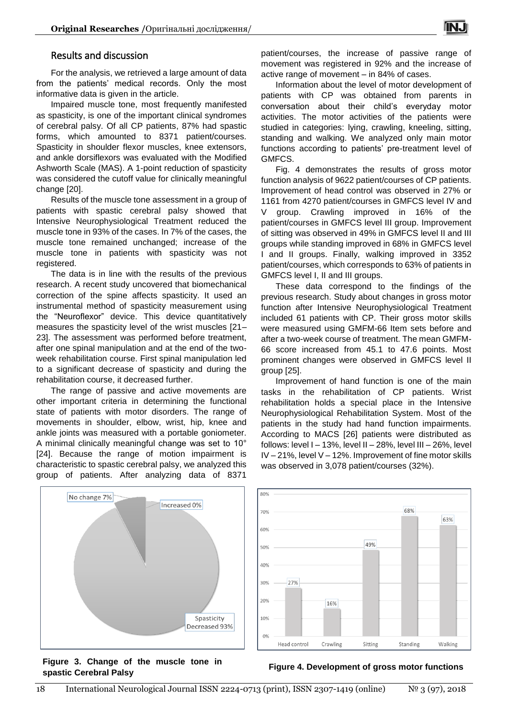## Results and discussion

For the analysis, we retrieved a large amount of data from the patients' medical records. Only the most informative data is given in the article.

Impaired muscle tone, most frequently manifested as spasticity, is one of the important clinical syndromes of cerebral palsy. Of all CP patients, 87% had spastic forms, which amounted to 8371 patient/courses. Spasticity in shoulder flexor muscles, knee extensors, and ankle dorsiflexors was evaluated with the Modified Ashworth Scale (MAS). A 1-point reduction of spasticity was considered the cutoff value for clinically meaningful change [20].

Results of the muscle tone assessment in a group of patients with spastic cerebral palsy showed that Intensive Neurophysiological Treatment reduced the muscle tone in 93% of the cases. In 7% of the cases, the muscle tone remained unchanged; increase of the muscle tone in patients with spasticity was not registered.

The data is in line with the results of the previous research. A recent study uncovered that biomechanical correction of the spine affects spasticity. It used an instrumental method of spasticity measurement using the "Neuroflexor" device. This device quantitatively measures the spasticity level of the wrist muscles [21– 23]. The assessment was performed before treatment, after one spinal manipulation and at the end of the twoweek rehabilitation course. First spinal manipulation led to a significant decrease of spasticity and during the rehabilitation course, it decreased further.

The range of passive and active movements are other important criteria in determining the functional state of patients with motor disorders. The range of movements in shoulder, elbow, wrist, hip, knee and ankle joints was measured with a portable goniometer. A minimal clinically meaningful change was set to 10° [24]. Because the range of motion impairment is characteristic to spastic cerebral palsy, we analyzed this group of patients. After analyzing data of 8371

patient/courses, the increase of passive range of movement was registered in 92% and the increase of active range of movement – in 84% of cases.

Information about the level of motor development of patients with CP was obtained from parents in conversation about their child's everyday motor activities. The motor activities of the patients were studied in categories: lying, crawling, kneeling, sitting, standing and walking. We analyzed only main motor functions according to patients' pre-treatment level of GMFCS.

Fig. 4 demonstrates the results of gross motor function analysis of 9622 patient/courses of CP patients. Improvement of head control was observed in 27% or 1161 from 4270 patient/courses in GMFCS level IV and V group. Crawling improved in 16% of the patient/courses in GMFCS level III group. Improvement of sitting was observed in 49% in GMFCS level II and III groups while standing improved in 68% in GMFCS level I and II groups. Finally, walking improved in 3352 patient/courses, which corresponds to 63% of patients in GMFCS level I, II and III groups.

These data correspond to the findings of the previous research. Study about changes in gross motor function after Intensive Neurophysiological Treatment included 61 patients with CP. Their gross motor skills were measured using GMFM-66 Item sets before and after a two-week course of treatment. The mean GMFM-66 score increased from 45.1 to 47.6 points. Most prominent changes were observed in GMFCS level II group [25].

Improvement of hand function is one of the main tasks in the rehabilitation of CP patients. Wrist rehabilitation holds a special place in the Intensive Neurophysiological Rehabilitation System. Most of the patients in the study had hand function impairments. According to MACS [26] patients were distributed as follows: level  $I - 13%$ , level  $II - 28%$ , level  $III - 26%$ , level IV – 21%, level V – 12%. Improvement of fine motor skills was observed in 3,078 patient/courses (32%).



**Figure 3. Change of the muscle tone in spastic Cerebral Palsy Figure 4. Development of gross motor functions**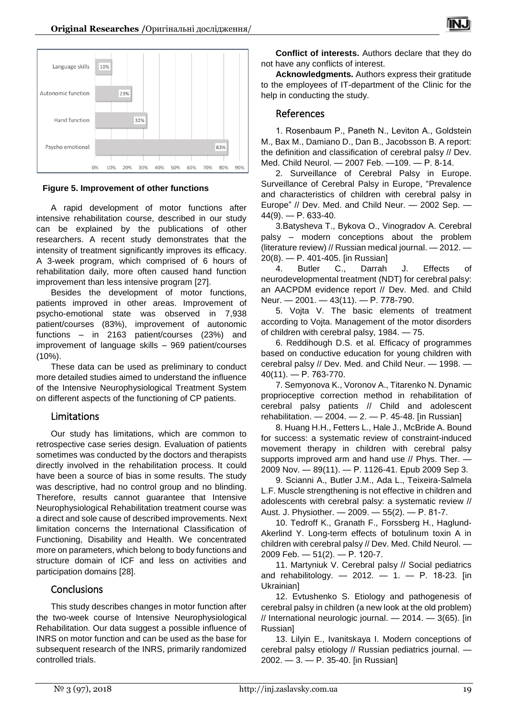

**Figure 5. Improvement of other functions**

A rapid development of motor functions after intensive rehabilitation course, described in our study can be explained by the publications of other researchers. A recent study demonstrates that the intensity of treatment significantly improves its efficacy. A 3-week program, which comprised of 6 hours of rehabilitation daily, more often caused hand function improvement than less intensive program [27].

Besides the development of motor functions, patients improved in other areas. Improvement of psycho-emotional state was observed in 7,938 patient/courses (83%), improvement of autonomic functions – in 2163 patient/courses (23%) and improvement of language skills – 969 patient/courses (10%).

These data can be used as preliminary to conduct more detailed studies aimed to understand the influence of the Intensive Neurophysiological Treatment System on different aspects of the functioning of CP patients.

## Limitations

Our study has limitations, which are common to retrospective case series design. Evaluation of patients sometimes was conducted by the doctors and therapists directly involved in the rehabilitation process. It could have been a source of bias in some results. The study was descriptive, had no control group and no blinding. Therefore, results cannot guarantee that Intensive Neurophysiological Rehabilitation treatment course was a direct and sole cause of described improvements. Next limitation concerns the International Classification of Functioning, Disability and Health. We concentrated more on parameters, which belong to body functions and structure domain of ICF and less on activities and participation domains [28].

# **Conclusions**

This study describes changes in motor function after the two-week course of Intensive Neurophysiological Rehabilitation. Our data suggest a possible influence of INRS on motor function and can be used as the base for subsequent research of the INRS, primarily randomized controlled trials.

**Conflict of interests.** Authors declare that they do not have any conflicts of interest.

IN.I

**Acknowledgments.** Authors express their gratitude to the employees of IT-department of the Clinic for the help in conducting the study.

## References

1. Rosenbaum P., Paneth N., Leviton А., Goldstein M., Bax M., Damiano D., Dan B., Jacobsson B. A report: the definition and classification of cerebral palsy // Dev. Med. Child Neurol. — 2007 Feb. —109. — Р. 8-14.

2. Surveillance of Cerebral Palsy in Europe. Surveillance of Cerebral Palsy in Europe, "Prevalence and characteristics of children with cerebral palsy in Europe" // Dev. Med. and Child Neur. — 2002 Sep. —  $44(9)$ . - P. 633-40.

3.Batysheva T., Bykova O., Vinogradov A. Cerebral palsy – modern conceptions about the problem (literature review) // Russian medical journal. — 2012. — 20(8). — P. 401-405. [in Russian]

4. Butler C., Darrah J. Effects of neurodevelopmental treatment (NDT) for cerebral palsy: an AACPDM evidence report // Dev. Med. and Child Neur. — 2001. — 43(11). — Р. 778-790.

5. Vojta V. The basic elements of treatment according to Vojta. Management of the motor disorders of children with cerebral palsy, 1984. — 75.

6. Reddihough D.S. et al. Efficacy of programmes based on conductive education for young children with cerebral palsy // Dev. Med. and Child Neur. — 1998. — 40(11). — Р. 763-770.

7. Semyonova K., Voronov A., Titarenko N. Dynamic proprioceptive correction method in rehabilitation of cerebral palsy patients // Child and adolescent rehabilitation.  $-2004 - 2. - P. 45-48$ . [in Russian]

8. Huang H.H., Fetters L., Hale J., McBride A. Bound for success: a systematic review of constraint-induced movement therapy in children with cerebral palsy supports improved arm and hand use // Phys. Ther. — 2009 Nov. — 89(11). — Р. 1126-41. Epub 2009 Sep 3.

9. Scianni A., Butler J.M., Ada L., Teixeira-Salmela L.F. Muscle strengthening is not effective in children and adolescents with cerebral palsy: a systematic review // Aust. J. Physiother. — 2009. — 55(2). — Р. 81-7.

10. Tedroff K., Granath F., Forssberg H., Haglund-Akerlind Y. Long-term effects of botulinum toxin A in children with cerebral palsy // Dev. Med. Child Neurol. — 2009 Feb. — 51(2). — Р. 120-7.

11. Martyniuk V. Cerebral palsy // Social pediatrics and rehabilitology.  $-2012. -1. - P. 18-23.$  [in Ukrainian]

12. Evtushenko S. Etiology and pathogenesis of cerebral palsy in children (a new look at the old problem) // International neurologic journal. — 2014. — 3(65). [in Russian]

13. Lilyin E., Ivanitskaya I. Modern conceptions of cerebral palsy etiology // Russian pediatrics journal. — 2002. — 3. — P. 35-40. [in Russian]